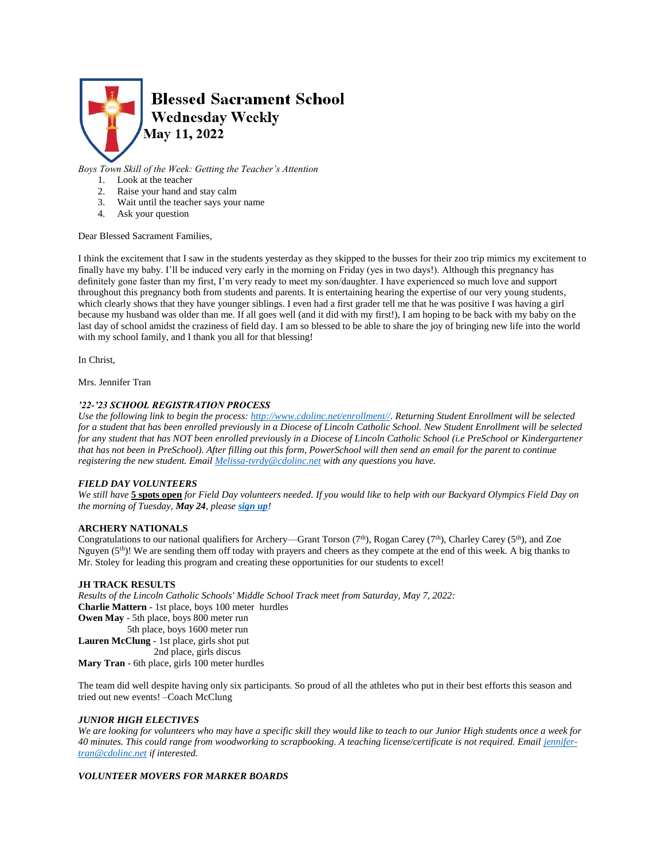

*Boys Town Skill of the Week: Getting the Teacher's Attention*

- 1. Look at the teacher
- 2. Raise your hand and stay calm
- 3. Wait until the teacher says your name
- 4. Ask your question

### Dear Blessed Sacrament Families,

I think the excitement that I saw in the students yesterday as they skipped to the busses for their zoo trip mimics my excitement to finally have my baby. I'll be induced very early in the morning on Friday (yes in two days!). Although this pregnancy has definitely gone faster than my first, I'm very ready to meet my son/daughter. I have experienced so much love and support throughout this pregnancy both from students and parents. It is entertaining hearing the expertise of our very young students, which clearly shows that they have younger siblings. I even had a first grader tell me that he was positive I was having a girl because my husband was older than me. If all goes well (and it did with my first!), I am hoping to be back with my baby on the last day of school amidst the craziness of field day. I am so blessed to be able to share the joy of bringing new life into the world with my school family, and I thank you all for that blessing!

In Christ,

Mrs. Jennifer Tran

# *'22-'23 SCHOOL REGISTRATION PROCESS*

*Use the following link to begin the process: [http://www.cdolinc.net/enrollment//.](http://www.cdolinc.net/enrollment/) Returning Student Enrollment will be selected for a student that has been enrolled previously in a Diocese of Lincoln Catholic School. New Student Enrollment will be selected for any student that has NOT been enrolled previously in a Diocese of Lincoln Catholic School (i.e PreSchool or Kindergartener that has not been in PreSchool). After filling out this form, PowerSchool will then send an email for the parent to continue registering the new student. Email [Melissa-tvrdy@cdolinc.net](mailto:Melissa-tvrdy@cdolinc.net) with any questions you have.*

### *FIELD DAY VOLUNTEERS*

*We still have* **5 spots open** *for Field Day volunteers needed. If you would like to help with our Backyard Olympics Field Day on the morning of Tuesday, May 24, please [sign up](https://www.signupgenius.com/go/805084CAFAE23A5FB6-field)!*

# **ARCHERY NATIONALS**

Congratulations to our national qualifiers for Archery—Grant Torson (7<sup>th</sup>), Rogan Carey (7<sup>th</sup>), Charley Carey (5<sup>th</sup>), and Zoe Nguyen  $(5<sup>th</sup>)!$ ! We are sending them off today with prayers and cheers as they compete at the end of this week. A big thanks to Mr. Stoley for leading this program and creating these opportunities for our students to excel!

### **JH TRACK RESULTS**

*Results of the Lincoln Catholic Schools' Middle School Track meet from Saturday, May 7, 2022:* **Charlie Mattern** - 1st place, boys 100 meter hurdles **Owen May** - 5th place, boys 800 meter run 5th place, boys 1600 meter run **Lauren McClung** - 1st place, girls shot put 2nd place, girls discus **Mary Tran** - 6th place, girls 100 meter hurdles

The team did well despite having only six participants. So proud of all the athletes who put in their best efforts this season and tried out new events! –Coach McClung

### *JUNIOR HIGH ELECTIVES*

*We are looking for volunteers who may have a specific skill they would like to teach to our Junior High students once a week for 40 minutes. This could range from woodworking to scrapbooking. A teaching license/certificate is not required. Emai[l jennifer](mailto:jennifer-tran@cdolinc.net)[tran@cdolinc.net](mailto:jennifer-tran@cdolinc.net) if interested.* 

### *VOLUNTEER MOVERS FOR MARKER BOARDS*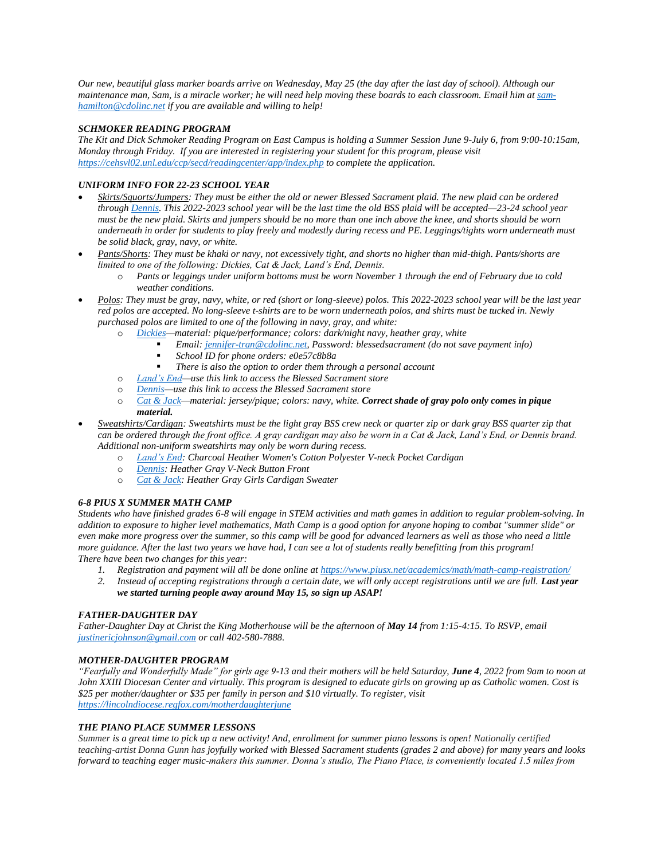*Our new, beautiful glass marker boards arrive on Wednesday, May 25 (the day after the last day of school). Although our maintenance man, Sam, is a miracle worker; he will need help moving these boards to each classroom. Email him a[t sam](mailto:sam-hamilton@cdolinc.net)[hamilton@cdolinc.net](mailto:sam-hamilton@cdolinc.net) if you are available and willing to help!*

# *SCHMOKER READING PROGRAM*

*The Kit and Dick Schmoker Reading Program on East Campus is holding a Summer Session June 9-July 6, from 9:00-10:15am, Monday through Friday. If you are interested in registering your student for this program, please visit <https://cehsvl02.unl.edu/ccp/secd/readingcenter/app/index.php> to complete the application.*

# *UNIFORM INFO FOR 22-23 SCHOOL YEAR*

- *Skirts/Squorts/Jumpers: They must be either the old or newer Blessed Sacrament plaid. The new plaid can be ordered throug[h Dennis.](https://www.dennisuniform.com/schools/PBL) This 2022-2023 school year will be the last time the old BSS plaid will be accepted—23-24 school year must be the new plaid. Skirts and jumpers should be no more than one inch above the knee, and shorts should be worn underneath in order for students to play freely and modestly during recess and PE. Leggings/tights worn underneath must be solid black, gray, navy, or white.*
- *Pants/Shorts: They must be khaki or navy, not excessively tight, and shorts no higher than mid-thigh. Pants/shorts are limited to one of the following: Dickies, Cat & Jack, Land's End, Dennis.* 
	- o *Pants or leggings under uniform bottoms must be worn November 1 through the end of February due to cold weather conditions.*
- *Polos: They must be gray, navy, white, or red (short or long-sleeve) polos. This 2022-2023 school year will be the last year red polos are accepted. No long-sleeve t-shirts are to be worn underneath polos, and shirts must be tucked in. Newly purchased polos are limited to one of the following in navy, gray, and white:*
	- o *[Dickies—](https://www.dickies.com/account)material: pique/performance; colors: dark/night navy, heather gray, white* 
		- *Email[: jennifer-tran@cdolinc.net,](mailto:jennifer-tran@cdolinc.net) Password: blessedsacrament (do not save payment info)*
			- *School ID for phone orders: e0e57c8b8a*
		- *There is also the option to order them through a personal account*
	- o *[Land's End—](https://business.landsend.com/store/blessed-sacrament-uniform/)use this link to access the Blessed Sacrament store*
	- o *[Dennis—](https://www.dennisuniform.com/schools/PBL)use this link to access the Blessed Sacrament store*
	- o *[Cat & Jack—](https://www.target.com/b/cat-jack/-/N-qqqgm)material: jersey/pique; colors: navy, white. Correct shade of gray polo only comes in pique material.*
- *Sweatshirts/Cardigan: Sweatshirts must be the light gray BSS crew neck or quarter zip or dark gray BSS quarter zip that can be ordered through the front office. A gray cardigan may also be worn in a Cat & Jack, Land's End, or Dennis brand. Additional non-uniform sweatshirts may only be worn during recess.*
	- o *[Land's End:](https://business.landsend.com/store/blessed-sacrament-uniform/) Charcoal Heather Women's Cotton Polyester V-neck Pocket Cardigan*
	- o *[Dennis:](https://www.dennisuniform.com/schools/PBL) Heather Gray V-Neck Button Front*
	- o *[Cat & Jack:](https://www.target.com/p/girls-cardigan-sweater-cat-jack/-/A-78103833?preselect=77551029#lnk=sametab) Heather Gray Girls Cardigan Sweater*

# *6-8 PIUS X SUMMER MATH CAMP*

*Students who have finished grades 6-8 will engage in STEM activities and math games in addition to regular problem-solving. In addition to exposure to higher level mathematics, Math Camp is a good option for anyone hoping to combat "summer slide" or even make more progress over the summer, so this camp will be good for advanced learners as well as those who need a little more guidance. After the last two years we have had, I can see a lot of students really benefitting from this program! There have been two changes for this year:* 

- *1. Registration and payment will all be done online at<https://www.piusx.net/academics/math/math-camp-registration/>*
- 2. *Instead of accepting registrations through a certain date, we will only accept registrations until we are full. Last year we started turning people away around May 15, so sign up ASAP!*

# *FATHER-DAUGHTER DAY*

*Father-Daughter Day at Christ the King Motherhouse will be the afternoon of May 14 from 1:15-4:15. To RSVP, email [justinericjohnson@gmail.com](mailto:justinericjohnson@gmail.com) or call 402-580-7888.*

# *MOTHER-DAUGHTER PROGRAM*

*"Fearfully and Wonderfully Made" for girls age 9-13 and their mothers will be held Saturday, June 4, 2022 from 9am to noon at John XXIII Diocesan Center and virtually. This program is designed to educate girls on growing up as Catholic women. Cost is \$25 per mother/daughter or \$35 per family in person and \$10 virtually. To register, visit <https://lincolndiocese.regfox.com/motherdaughterjune>*

# *THE PIANO PLACE SUMMER LESSONS*

*Summer is a great time to pick up a new activity! And, enrollment for summer piano lessons is open! Nationally certified teaching-artist Donna Gunn has joyfully worked with Blessed Sacrament students (grades 2 and above) for many years and looks forward to teaching eager music-makers this summer. Donna's studio, The Piano Place, is conveniently located 1.5 miles from*